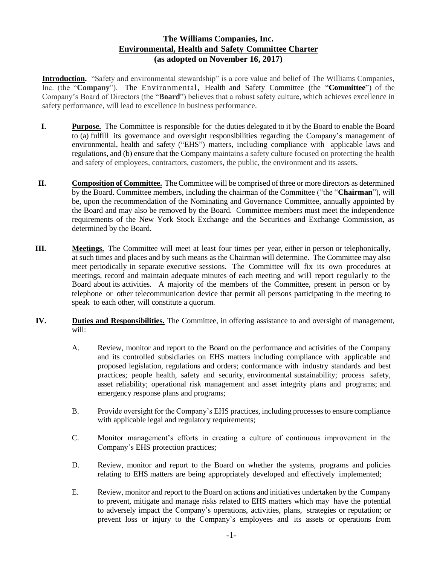## **The Williams Companies, Inc. Environmental, Health and Safety Committee Charter (as adopted on November 16, 2017)**

**Introduction.** "Safety and environmental stewardship" is a core value and belief of The Williams Companies, Inc. (the "**Company**"). The Environmental, Health and Safety Committee (the "**Committee**") of the Company's Board of Directors (the "**Board**") believes that a robust safety culture, which achieves excellence in safety performance, will lead to excellence in business performance.

- **I. Purpose.** The Committee is responsible for the duties delegated to it by the Board to enable the Board to (a) fulfill its governance and oversight responsibilities regarding the Company's management of environmental, health and safety ("EHS") matters, including compliance with applicable laws and regulations, and (b) ensure that the Company maintains a safety culture focused on protecting the health and safety of employees, contractors, customers, the public, the environment and its assets.
- **II. Composition of Committee.** The Committee will be comprised of three or more directors as determined by the Board. Committee members, including the chairman of the Committee ("the "**Chairman**"), will be, upon the recommendation of the Nominating and Governance Committee, annually appointed by the Board and may also be removed by the Board. Committee members must meet the independence requirements of the New York Stock Exchange and the Securities and Exchange Commission, as determined by the Board.
- **III. Meetings.** The Committee will meet at least four times per year, either in person or telephonically, at such times and places and by such means as the Chairman will determine. The Committee may also meet periodically in separate executive sessions. The Committee will fix its own procedures at meetings, record and maintain adequate minutes of each meeting and will report regularly to the Board about its activities. A majority of the members of the Committee, present in person or by telephone or other telecommunication device that permit all persons participating in the meeting to speak to each other, will constitute a quorum.
- **IV. Duties and Responsibilities.** The Committee, in offering assistance to and oversight of management, will:
	- A. Review, monitor and report to the Board on the performance and activities of the Company and its controlled subsidiaries on EHS matters including compliance with applicable and proposed legislation, regulations and orders; conformance with industry standards and best practices; people health, safety and security, environmental sustainability; process safety, asset reliability; operational risk management and asset integrity plans and programs; and emergency response plans and programs;
	- B. Provide oversight for the Company's EHS practices, including processes to ensure compliance with applicable legal and regulatory requirements;
	- C. Monitor management's efforts in creating a culture of continuous improvement in the Company's EHS protection practices;
	- D. Review, monitor and report to the Board on whether the systems, programs and policies relating to EHS matters are being appropriately developed and effectively implemented;
	- E. Review, monitor and report to the Board on actions and initiatives undertaken by the Company to prevent, mitigate and manage risks related to EHS matters which may have the potential to adversely impact the Company's operations, activities, plans, strategies or reputation; or prevent loss or injury to the Company's employees and its assets or operations from